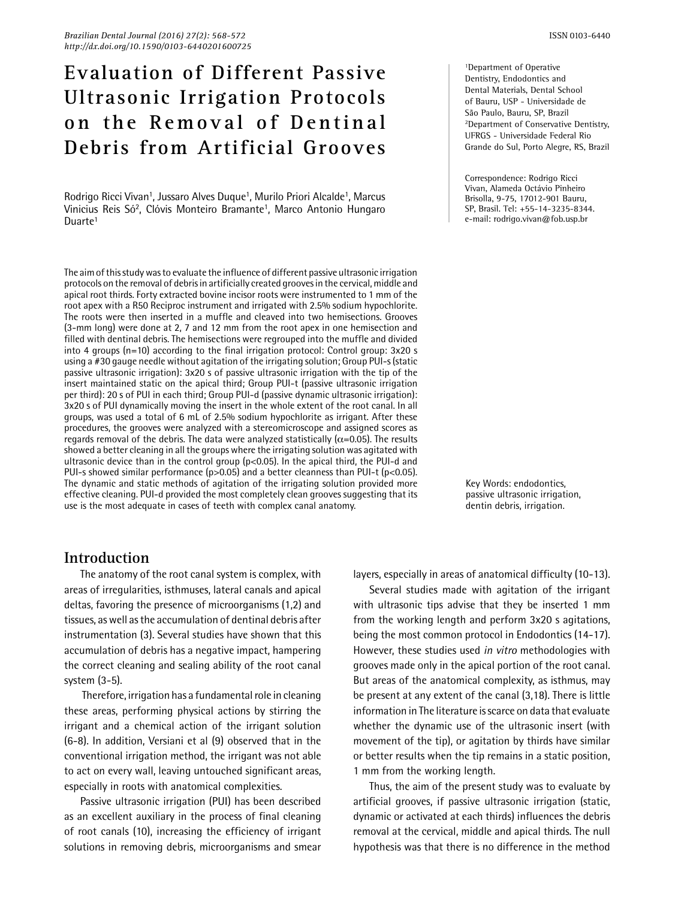# **Evaluation of Different Passive Ultrasonic Irrigation Protocols on the Removal of Dentinal Debris from Artificial Grooves**

Rodrigo Ricci Vivan<sup>1</sup>, Jussaro Alves Duque<sup>1</sup>, Murilo Priori Alcalde<sup>1</sup>, Marcus Vinicius Reis Só2, Clóvis Monteiro Bramante1, Marco Antonio Hungaro Duarte<sup>1</sup>

The aim of this study was to evaluate the influence of different passive ultrasonic irrigation protocols on the removal of debris in artificially created grooves in the cervical, middle and apical root thirds. Forty extracted bovine incisor roots were instrumented to 1 mm of the root apex with a R50 Reciproc instrument and irrigated with 2.5% sodium hypochlorite. The roots were then inserted in a muffle and cleaved into two hemisections. Grooves (3-mm long) were done at 2, 7 and 12 mm from the root apex in one hemisection and filled with dentinal debris. The hemisections were regrouped into the muffle and divided into 4 groups (n=10) according to the final irrigation protocol: Control group: 3x20 s using a #30 gauge needle without agitation of the irrigating solution; Group PUI-s (static passive ultrasonic irrigation): 3x20 s of passive ultrasonic irrigation with the tip of the insert maintained static on the apical third; Group PUI-t (passive ultrasonic irrigation per third): 20 s of PUI in each third; Group PUI-d (passive dynamic ultrasonic irrigation): 3x20 s of PUI dynamically moving the insert in the whole extent of the root canal. In all groups, was used a total of 6 mL of 2.5% sodium hypochlorite as irrigant. After these procedures, the grooves were analyzed with a stereomicroscope and assigned scores as regards removal of the debris. The data were analyzed statistically ( $\alpha$ =0.05). The results showed a better cleaning in all the groups where the irrigating solution was agitated with ultrasonic device than in the control group (p<0.05). In the apical third, the PUI-d and PUI-s showed similar performance (p>0.05) and a better cleanness than PUI-t (p<0.05). The dynamic and static methods of agitation of the irrigating solution provided more effective cleaning. PUI-d provided the most completely clean grooves suggesting that its use is the most adequate in cases of teeth with complex canal anatomy.

1Department of Operative Dentistry, Endodontics and Dental Materials, Dental School of Bauru, USP - Universidade de São Paulo, Bauru, SP, Brazil 2Department of Conservative Dentistry, UFRGS - Universidade Federal Rio Grande do Sul, Porto Alegre, RS, Brazil

Correspondence: Rodrigo Ricci Vivan, Alameda Octávio Pinheiro Brisolla, 9-75, 17012-901 Bauru, SP, Brasil. Tel: +55-14-3235-8344. e-mail: rodrigo.vivan@fob.usp.br

Key Words: endodontics, passive ultrasonic irrigation, dentin debris, irrigation.

# **Introduction**

The anatomy of the root canal system is complex, with areas of irregularities, isthmuses, lateral canals and apical deltas, favoring the presence of microorganisms (1,2) and tissues, as well as the accumulation of dentinal debris after instrumentation (3). Several studies have shown that this accumulation of debris has a negative impact, hampering the correct cleaning and sealing ability of the root canal system (3-5).

 Therefore, irrigation has a fundamental role in cleaning these areas, performing physical actions by stirring the irrigant and a chemical action of the irrigant solution (6-8). In addition, Versiani et al (9) observed that in the conventional irrigation method, the irrigant was not able to act on every wall, leaving untouched significant areas, especially in roots with anatomical complexities.

Passive ultrasonic irrigation (PUI) has been described as an excellent auxiliary in the process of final cleaning of root canals (10), increasing the efficiency of irrigant solutions in removing debris, microorganisms and smear layers, especially in areas of anatomical difficulty (10-13).

Several studies made with agitation of the irrigant with ultrasonic tips advise that they be inserted 1 mm from the working length and perform 3x20 s agitations, being the most common protocol in Endodontics (14-17). However, these studies used *in vitro* methodologies with grooves made only in the apical portion of the root canal. But areas of the anatomical complexity, as isthmus, may be present at any extent of the canal (3,18). There is little information in The literature is scarce on data that evaluate whether the dynamic use of the ultrasonic insert (with movement of the tip), or agitation by thirds have similar or better results when the tip remains in a static position, 1 mm from the working length.

Thus, the aim of the present study was to evaluate by artificial grooves, if passive ultrasonic irrigation (static, dynamic or activated at each thirds) influences the debris removal at the cervical, middle and apical thirds. The null hypothesis was that there is no difference in the method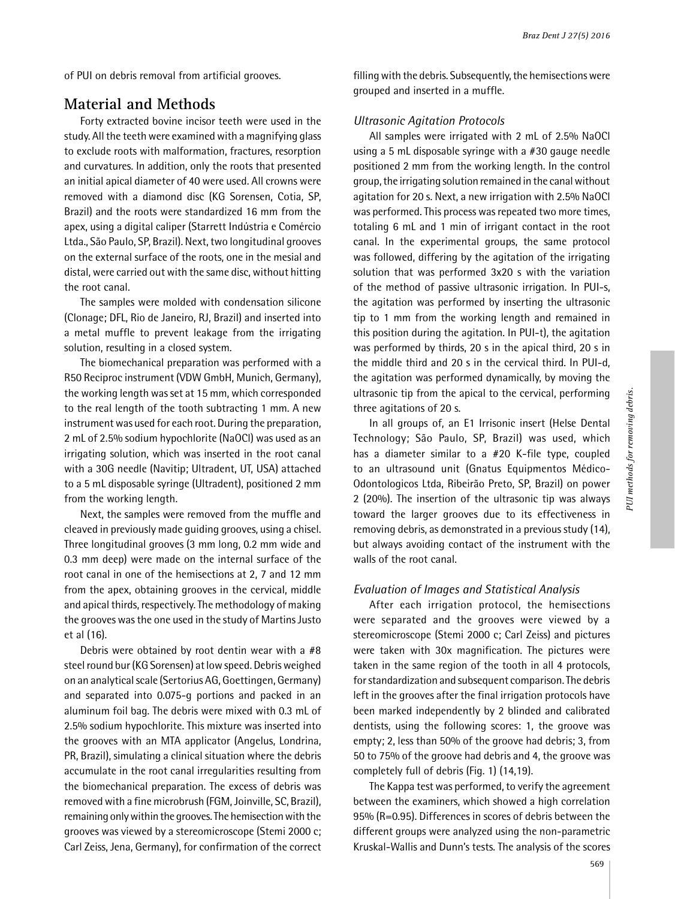of PUI on debris removal from artificial grooves.

## **Material and Methods**

Forty extracted bovine incisor teeth were used in the study. All the teeth were examined with a magnifying glass to exclude roots with malformation, fractures, resorption and curvatures. In addition, only the roots that presented an initial apical diameter of 40 were used. All crowns were removed with a diamond disc (KG Sorensen, Cotia, SP, Brazil) and the roots were standardized 16 mm from the apex, using a digital caliper (Starrett Indústria e Comércio Ltda., São Paulo, SP, Brazil). Next, two longitudinal grooves on the external surface of the roots, one in the mesial and distal, were carried out with the same disc, without hitting the root canal.

The samples were molded with condensation silicone (Clonage; DFL, Rio de Janeiro, RJ, Brazil) and inserted into a metal muffle to prevent leakage from the irrigating solution, resulting in a closed system.

The biomechanical preparation was performed with a R50 Reciproc instrument (VDW GmbH, Munich, Germany), the working length was set at 15 mm, which corresponded to the real length of the tooth subtracting 1 mm. A new instrument was used for each root. During the preparation, 2 mL of 2.5% sodium hypochlorite (NaOCl) was used as an irrigating solution, which was inserted in the root canal with a 30G needle (Navitip; Ultradent, UT, USA) attached to a 5 mL disposable syringe (Ultradent), positioned 2 mm from the working length.

Next, the samples were removed from the muffle and cleaved in previously made guiding grooves, using a chisel. Three longitudinal grooves (3 mm long, 0.2 mm wide and 0.3 mm deep) were made on the internal surface of the root canal in one of the hemisections at 2, 7 and 12 mm from the apex, obtaining grooves in the cervical, middle and apical thirds, respectively. The methodology of making the grooves was the one used in the study of Martins Justo et al (16).

Debris were obtained by root dentin wear with a #8 steel round bur (KG Sorensen) at low speed. Debris weighed on an analytical scale (Sertorius AG, Goettingen, Germany) and separated into 0.075-g portions and packed in an aluminum foil bag. The debris were mixed with 0.3 mL of 2.5% sodium hypochlorite. This mixture was inserted into the grooves with an MTA applicator (Angelus, Londrina, PR, Brazil), simulating a clinical situation where the debris accumulate in the root canal irregularities resulting from the biomechanical preparation. The excess of debris was removed with a fine microbrush (FGM, Joinville, SC, Brazil), remaining only within the grooves. The hemisection with the grooves was viewed by a stereomicroscope (Stemi 2000 c; Carl Zeiss, Jena, Germany), for confirmation of the correct filling with the debris. Subsequently, the hemisections were grouped and inserted in a muffle.

### *Ultrasonic Agitation Protocols*

All samples were irrigated with 2 mL of 2.5% NaOCl using a 5 mL disposable syringe with a #30 gauge needle positioned 2 mm from the working length. In the control group, the irrigating solution remained in the canal without agitation for 20 s. Next, a new irrigation with 2.5% NaOCl was performed. This process was repeated two more times, totaling 6 mL and 1 min of irrigant contact in the root canal. In the experimental groups, the same protocol was followed, differing by the agitation of the irrigating solution that was performed 3x20 s with the variation of the method of passive ultrasonic irrigation. In PUI-s, the agitation was performed by inserting the ultrasonic tip to 1 mm from the working length and remained in this position during the agitation. In PUI-t), the agitation was performed by thirds, 20 s in the apical third, 20 s in the middle third and 20 s in the cervical third. In PUI-d, the agitation was performed dynamically, by moving the ultrasonic tip from the apical to the cervical, performing three agitations of 20 s.

In all groups of, an E1 Irrisonic insert (Helse Dental Technology; São Paulo, SP, Brazil) was used, which has a diameter similar to a #20 K-file type, coupled to an ultrasound unit (Gnatus Equipmentos Médico-Odontologicos Ltda, Ribeirão Preto, SP, Brazil) on power 2 (20%). The insertion of the ultrasonic tip was always toward the larger grooves due to its effectiveness in removing debris, as demonstrated in a previous study (14), but always avoiding contact of the instrument with the walls of the root canal.

#### *Evaluation of Images and Statistical Analysis*

After each irrigation protocol, the hemisections were separated and the grooves were viewed by a stereomicroscope (Stemi 2000 c; Carl Zeiss) and pictures were taken with 30x magnification. The pictures were taken in the same region of the tooth in all 4 protocols, for standardization and subsequent comparison. The debris left in the grooves after the final irrigation protocols have been marked independently by 2 blinded and calibrated dentists, using the following scores: 1, the groove was empty; 2, less than 50% of the groove had debris; 3, from 50 to 75% of the groove had debris and 4, the groove was completely full of debris (Fig. 1) (14,19).

The Kappa test was performed, to verify the agreement between the examiners, which showed a high correlation 95% (R=0.95). Differences in scores of debris between the different groups were analyzed using the non-parametric Kruskal-Wallis and Dunn's tests. The analysis of the scores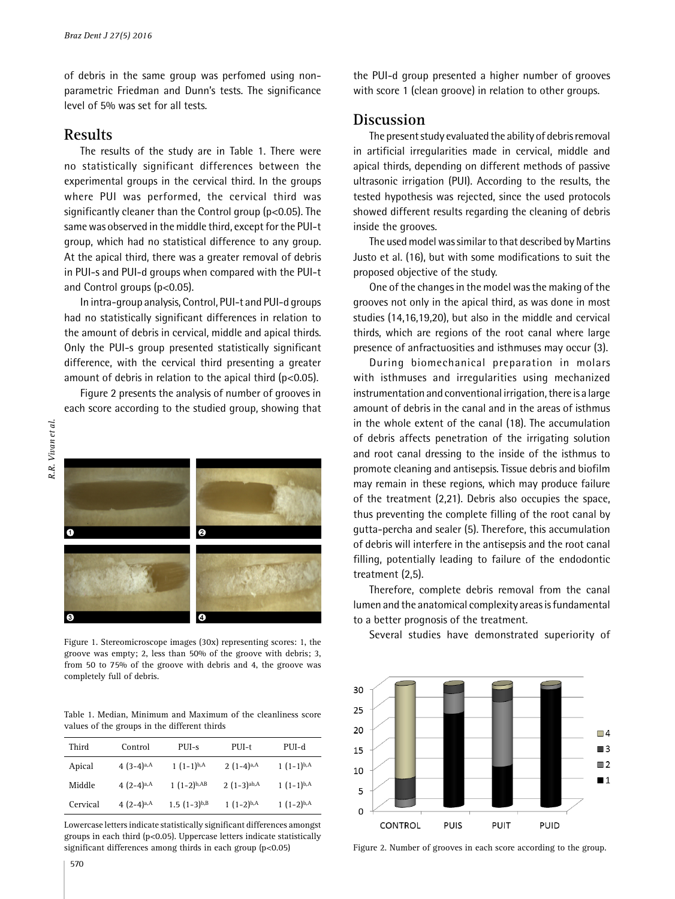of debris in the same group was perfomed using nonparametric Friedman and Dunn's tests. The significance level of 5% was set for all tests.

## **Results**

The results of the study are in Table 1. There were no statistically significant differences between the experimental groups in the cervical third. In the groups where PUI was performed, the cervical third was significantly cleaner than the Control group (p<0.05). The same was observed in the middle third, except for the PUI-t group, which had no statistical difference to any group. At the apical third, there was a greater removal of debris in PUI-s and PUI-d groups when compared with the PUI-t and Control groups (p<0.05).

In intra-group analysis, Control, PUI-t and PUI-d groups had no statistically significant differences in relation to the amount of debris in cervical, middle and apical thirds. Only the PUI-s group presented statistically significant difference, with the cervical third presenting a greater amount of debris in relation to the apical third (p<0.05).

Figure 2 presents the analysis of number of grooves in each score according to the studied group, showing that



Figure 1. Stereomicroscope images (30x) representing scores: 1, the groove was empty; 2, less than 50% of the groove with debris; 3, from 50 to 75% of the groove with debris and 4, the groove was completely full of debris.

Table 1. Median, Minimum and Maximum of the cleanliness score values of the groups in the different thirds

| Third    | Control                  | $PIII-S$                  | $PUI-t$                  | $PIII-d$        |
|----------|--------------------------|---------------------------|--------------------------|-----------------|
| Apical   | 4 $(3-4)^{a,A}$          | $1(1-1)^{b,A}$            | 2 $(1-4)^{a,A}$          | 1 $(1-1)^{b,A}$ |
| Middle   | 4 $(2-4)^{a,A}$          | $1(1-2)^{b,AB}$           | $2(1-3)$ <sup>ab,A</sup> | $1(1-1)^{b,A}$  |
| Cervical | 4 $(2-4)$ <sup>a,A</sup> | $1.5(1-3)$ <sub>b,B</sub> | $1(1-2)^{b,A}$           | $1(1-2)^{b,A}$  |

Lowercase letters indicate statistically significant differences amongst groups in each third (p<0.05). Uppercase letters indicate statistically significant differences among thirds in each group (p<0.05) Figure 2. Number of grooves in each score according to the group.

the PUI-d group presented a higher number of grooves with score 1 (clean groove) in relation to other groups.

## **Discussion**

The present study evaluated the ability of debris removal in artificial irregularities made in cervical, middle and apical thirds, depending on different methods of passive ultrasonic irrigation (PUI). According to the results, the tested hypothesis was rejected, since the used protocols showed different results regarding the cleaning of debris inside the grooves.

The used model was similar to that described by Martins Justo et al. (16), but with some modifications to suit the proposed objective of the study.

One of the changes in the model was the making of the grooves not only in the apical third, as was done in most studies (14,16,19,20), but also in the middle and cervical thirds, which are regions of the root canal where large presence of anfractuosities and isthmuses may occur (3).

During biomechanical preparation in molars with isthmuses and irregularities using mechanized instrumentation and conventional irrigation, there is a large amount of debris in the canal and in the areas of isthmus in the whole extent of the canal (18). The accumulation of debris affects penetration of the irrigating solution and root canal dressing to the inside of the isthmus to promote cleaning and antisepsis. Tissue debris and biofilm may remain in these regions, which may produce failure of the treatment (2,21). Debris also occupies the space, thus preventing the complete filling of the root canal by gutta-percha and sealer (5). Therefore, this accumulation of debris will interfere in the antisepsis and the root canal filling, potentially leading to failure of the endodontic treatment (2,5).

Therefore, complete debris removal from the canal lumen and the anatomical complexity areas is fundamental to a better prognosis of the treatment.

Several studies have demonstrated superiority of

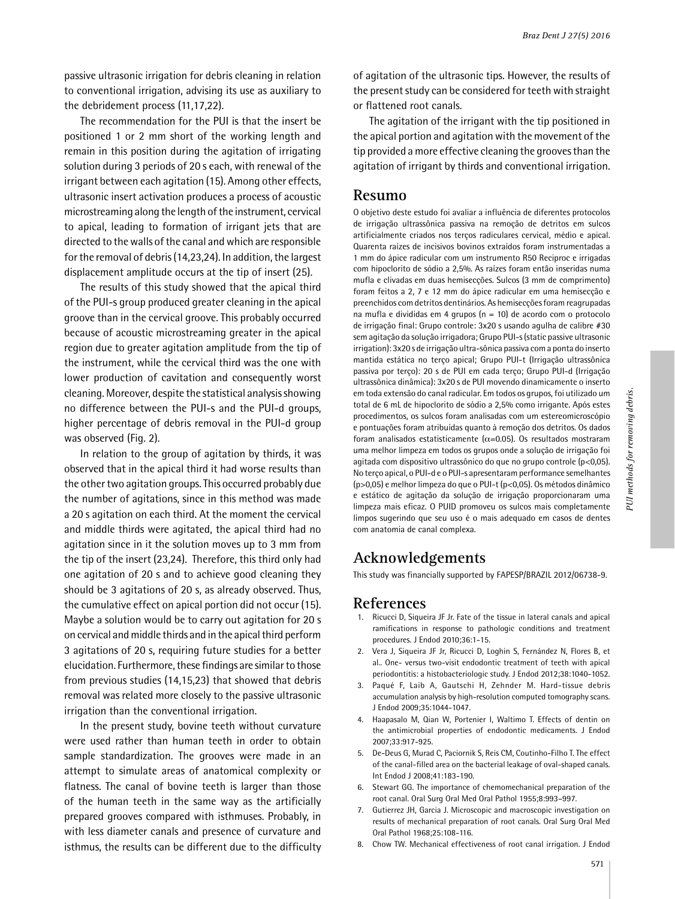passive ultrasonic irrigation for debris cleaning in relation to conventional irrigation, advising its use as auxiliary to the debridement process (11,17,22).

The recommendation for the PUI is that the insert be positioned 1 or 2 mm short of the working length and remain in this position during the agitation of irrigating solution during 3 periods of 20 s each, with renewal of the irrigant between each agitation (15). Among other effects, ultrasonic insert activation produces a process of acoustic microstreaming along the length of the instrument, cervical to apical, leading to formation of irrigant jets that are directed to the walls of the canal and which are responsible for the removal of debris (14,23,24). In addition, the largest displacement amplitude occurs at the tip of insert (25).

The results of this study showed that the apical third of the PUI-s group produced greater cleaning in the apical groove than in the cervical groove. This probably occurred because of acoustic microstreaming greater in the apical region due to greater agitation amplitude from the tip of the instrument, while the cervical third was the one with lower production of cavitation and consequently worst cleaning. Moreover, despite the statistical analysis showing no difference between the PUI-s and the PUI-d groups, higher percentage of debris removal in the PUI-d group was observed (Fig. 2).

In relation to the group of agitation by thirds, it was observed that in the apical third it had worse results than the other two agitation groups. This occurred probably due the number of agitations, since in this method was made a 20 s agitation on each third. At the moment the cervical and middle thirds were agitated, the apical third had no agitation since in it the solution moves up to 3 mm from the tip of the insert (23,24). Therefore, this third only had one agitation of 20 s and to achieve good cleaning they should be 3 agitations of 20 s, as already observed. Thus, the cumulative effect on apical portion did not occur (15). Maybe a solution would be to carry out agitation for 20 s on cervical and middle thirds and in the apical third perform 3 agitations of 20 s, requiring future studies for a better elucidation. Furthermore, these findings are similar to those from previous studies (14,15,23) that showed that debris removal was related more closely to the passive ultrasonic irrigation than the conventional irrigation.

In the present study, bovine teeth without curvature were used rather than human teeth in order to obtain sample standardization. The grooves were made in an attempt to simulate areas of anatomical complexity or flatness. The canal of bovine teeth is larger than those of the human teeth in the same way as the artificially prepared grooves compared with isthmuses. Probably, in with less diameter canals and presence of curvature and isthmus, the results can be different due to the difficulty of agitation of the ultrasonic tips. However, the results of the present study can be considered for teeth with straight or flattened root canals.

The agitation of the irrigant with the tip positioned in the apical portion and agitation with the movement of the tip provided a more effective cleaning the grooves than the agitation of irrigant by thirds and conventional irrigation.

## **Resumo**

O objetivo deste estudo foi avaliar a influência de diferentes protocolos de irrigação ultrassônica passiva na remoção de detritos em sulcos artificialmente criados nos terços radiculares cervical, médio e apical. Quarenta raízes de incisivos bovinos extraídos foram instrumentadas a 1 mm do ápice radicular com um instrumento R50 Reciproc e irrigadas com hipoclorito de sódio a 2,5%. As raízes foram então inseridas numa mufla e clivadas em duas hemisecções. Sulcos (3 mm de comprimento) foram feitos a 2, 7 e 12 mm do ápice radicular em uma hemisecção e preenchidos com detritos dentinários. As hemisecções foram reagrupadas na mufla e divididas em 4 grupos (n = 10) de acordo com o protocolo de irrigação final: Grupo controle: 3x20 s usando agulha de calibre #30 sem agitação da solução irrigadora; Grupo PUI-s (static passive ultrasonic irrigation): 3x20 s de irrigação ultra-sônica passiva com a ponta do inserto mantida estática no terço apical; Grupo PUI-t (Irrigação ultrassônica passiva por terço): 20 s de PUI em cada terço; Grupo PUI-d (Irrigação ultrassônica dinâmica): 3x20 s de PUI movendo dinamicamente o inserto em toda extensão do canal radicular. Em todos os grupos, foi utilizado um total de 6 mL de hipoclorito de sódio a 2,5% como irrigante. Após estes procedimentos, os sulcos foram analisadas com um estereomicroscópio e pontuações foram atribuídas quanto à remoção dos detritos. Os dados foram analisados estatisticamente ( $\alpha$ =0.05). Os resultados mostraram uma melhor limpeza em todos os grupos onde a solução de irrigação foi agitada com dispositivo ultrassônico do que no grupo controle (p<0,05). No terço apical, o PUI-d e o PUI-s apresentaram performance semelhantes (p>0,05) e melhor limpeza do que o PUI-t (p<0,05). Os métodos dinâmico e estático de agitação da solução de irrigação proporcionaram uma limpeza mais eficaz. O PUID promoveu os sulcos mais completamente limpos sugerindo que seu uso é o mais adequado em casos de dentes com anatomia de canal complexa.

# **Acknowledgements**

This study was financially supported by FAPESP/BRAZIL 2012/06738-9.

#### **References**

- 1. Ricucci D, Siqueira JF Jr. Fate of the tissue in lateral canals and apical ramifications in response to pathologic conditions and treatment procedures. J Endod 2010;36:1-15.
- 2. Vera J, Siqueira JF Jr, Ricucci D, Loghin S, Fernández N, Flores B, et al.. One- versus two-visit endodontic treatment of teeth with apical periodontitis: a histobacteriologic study. J Endod 2012;38:1040-1052.
- 3. Paqué F, Laib A, Gautschi H, Zehnder M. Hard-tissue debris accumulation analysis by high-resolution computed tomography scans. J Endod 2009;35:1044-1047.
- 4. Haapasalo M, Qian W, Portenier I, Waltimo T. Effects of dentin on the antimicrobial properties of endodontic medicaments. J Endod 2007;33:917-925.
- 5. De-Deus G, Murad C, Paciornik S, Reis CM, Coutinho-Filho T. The effect of the canal-filled area on the bacterial leakage of oval-shaped canals. Int Endod J 2008;41:183-190.
- 6. Stewart GG. The importance of chemomechanical preparation of the root canal. Oral Surg Oral Med Oral Pathol 1955;8:993–997.
- 7. Gutierrez JH, Garcia J. Microscopic and macroscopic investigation on results of mechanical preparation of root canals. Oral Surg Oral Med Oral Pathol 1968;25:108-116.
- 8. Chow TW. Mechanical effectiveness of root canal irrigation. J Endod